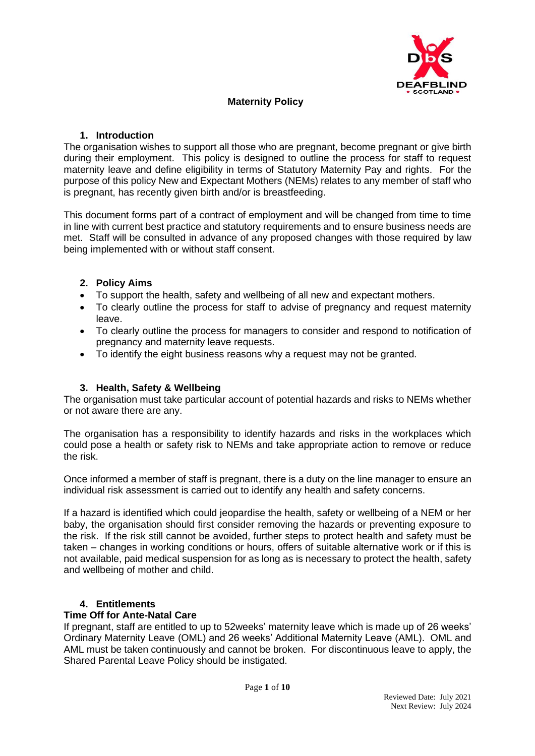

# **Maternity Policy**

## **1. Introduction**

The organisation wishes to support all those who are pregnant, become pregnant or give birth during their employment. This policy is designed to outline the process for staff to request maternity leave and define eligibility in terms of Statutory Maternity Pay and rights. For the purpose of this policy New and Expectant Mothers (NEMs) relates to any member of staff who is pregnant, has recently given birth and/or is breastfeeding.

This document forms part of a contract of employment and will be changed from time to time in line with current best practice and statutory requirements and to ensure business needs are met. Staff will be consulted in advance of any proposed changes with those required by law being implemented with or without staff consent.

# **2. Policy Aims**

- To support the health, safety and wellbeing of all new and expectant mothers.
- To clearly outline the process for staff to advise of pregnancy and request maternity leave.
- To clearly outline the process for managers to consider and respond to notification of pregnancy and maternity leave requests.
- To identify the eight business reasons why a request may not be granted.

# **3. Health, Safety & Wellbeing**

The organisation must take particular account of potential hazards and risks to NEMs whether or not aware there are any.

The organisation has a responsibility to identify hazards and risks in the workplaces which could pose a health or safety risk to NEMs and take appropriate action to remove or reduce the risk.

Once informed a member of staff is pregnant, there is a duty on the line manager to ensure an individual risk assessment is carried out to identify any health and safety concerns.

If a hazard is identified which could jeopardise the health, safety or wellbeing of a NEM or her baby, the organisation should first consider removing the hazards or preventing exposure to the risk. If the risk still cannot be avoided, further steps to protect health and safety must be taken – changes in working conditions or hours, offers of suitable alternative work or if this is not available, paid medical suspension for as long as is necessary to protect the health, safety and wellbeing of mother and child.

# **4. Entitlements**

#### **Time Off for Ante-Natal Care**

If pregnant, staff are entitled to up to 52weeks' maternity leave which is made up of 26 weeks' Ordinary Maternity Leave (OML) and 26 weeks' Additional Maternity Leave (AML). OML and AML must be taken continuously and cannot be broken. For discontinuous leave to apply, the Shared Parental Leave Policy should be instigated.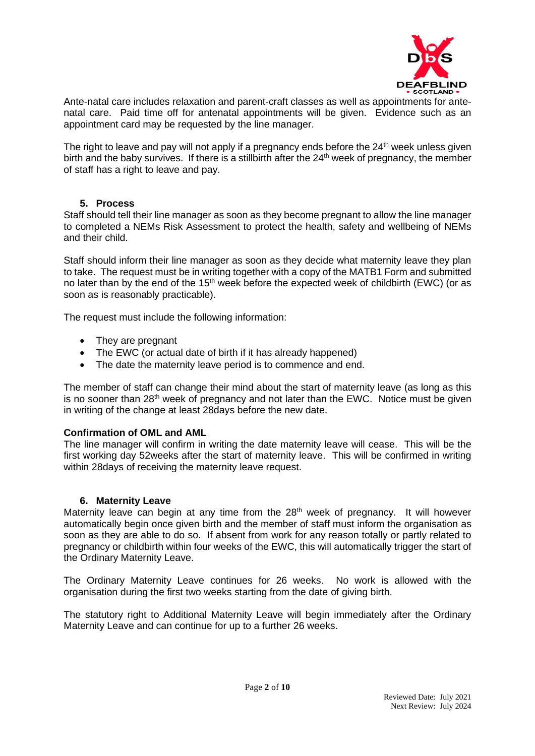

Ante-natal care includes relaxation and parent-craft classes as well as appointments for antenatal care. Paid time off for antenatal appointments will be given. Evidence such as an appointment card may be requested by the line manager.

The right to leave and pay will not apply if a pregnancy ends before the  $24<sup>th</sup>$  week unless given birth and the baby survives. If there is a stillbirth after the 24<sup>th</sup> week of pregnancy, the member of staff has a right to leave and pay.

#### **5. Process**

Staff should tell their line manager as soon as they become pregnant to allow the line manager to completed a NEMs Risk Assessment to protect the health, safety and wellbeing of NEMs and their child.

Staff should inform their line manager as soon as they decide what maternity leave they plan to take. The request must be in writing together with a copy of the MATB1 Form and submitted no later than by the end of the  $15<sup>th</sup>$  week before the expected week of childbirth (EWC) (or as soon as is reasonably practicable).

The request must include the following information:

- They are pregnant
- The EWC (or actual date of birth if it has already happened)
- The date the maternity leave period is to commence and end.

The member of staff can change their mind about the start of maternity leave (as long as this is no sooner than 28<sup>th</sup> week of pregnancy and not later than the EWC. Notice must be given in writing of the change at least 28days before the new date.

# **Confirmation of OML and AML**

The line manager will confirm in writing the date maternity leave will cease. This will be the first working day 52weeks after the start of maternity leave. This will be confirmed in writing within 28 days of receiving the maternity leave request.

#### **6. Maternity Leave**

Maternity leave can begin at any time from the  $28<sup>th</sup>$  week of pregnancy. It will however automatically begin once given birth and the member of staff must inform the organisation as soon as they are able to do so. If absent from work for any reason totally or partly related to pregnancy or childbirth within four weeks of the EWC, this will automatically trigger the start of the Ordinary Maternity Leave.

The Ordinary Maternity Leave continues for 26 weeks. No work is allowed with the organisation during the first two weeks starting from the date of giving birth.

The statutory right to Additional Maternity Leave will begin immediately after the Ordinary Maternity Leave and can continue for up to a further 26 weeks.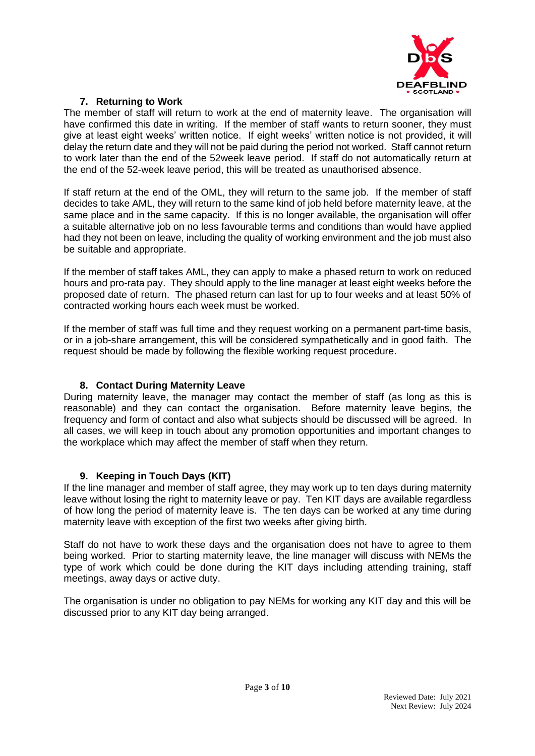

# **7. Returning to Work**

The member of staff will return to work at the end of maternity leave. The organisation will have confirmed this date in writing. If the member of staff wants to return sooner, they must give at least eight weeks' written notice. If eight weeks' written notice is not provided, it will delay the return date and they will not be paid during the period not worked. Staff cannot return to work later than the end of the 52week leave period. If staff do not automatically return at the end of the 52-week leave period, this will be treated as unauthorised absence.

If staff return at the end of the OML, they will return to the same job. If the member of staff decides to take AML, they will return to the same kind of job held before maternity leave, at the same place and in the same capacity. If this is no longer available, the organisation will offer a suitable alternative job on no less favourable terms and conditions than would have applied had they not been on leave, including the quality of working environment and the job must also be suitable and appropriate.

If the member of staff takes AML, they can apply to make a phased return to work on reduced hours and pro-rata pay. They should apply to the line manager at least eight weeks before the proposed date of return. The phased return can last for up to four weeks and at least 50% of contracted working hours each week must be worked.

If the member of staff was full time and they request working on a permanent part-time basis, or in a job-share arrangement, this will be considered sympathetically and in good faith. The request should be made by following the flexible working request procedure.

# **8. Contact During Maternity Leave**

During maternity leave, the manager may contact the member of staff (as long as this is reasonable) and they can contact the organisation. Before maternity leave begins, the frequency and form of contact and also what subjects should be discussed will be agreed. In all cases, we will keep in touch about any promotion opportunities and important changes to the workplace which may affect the member of staff when they return.

# **9. Keeping in Touch Days (KIT)**

If the line manager and member of staff agree, they may work up to ten days during maternity leave without losing the right to maternity leave or pay. Ten KIT days are available regardless of how long the period of maternity leave is. The ten days can be worked at any time during maternity leave with exception of the first two weeks after giving birth.

Staff do not have to work these days and the organisation does not have to agree to them being worked. Prior to starting maternity leave, the line manager will discuss with NEMs the type of work which could be done during the KIT days including attending training, staff meetings, away days or active duty.

The organisation is under no obligation to pay NEMs for working any KIT day and this will be discussed prior to any KIT day being arranged.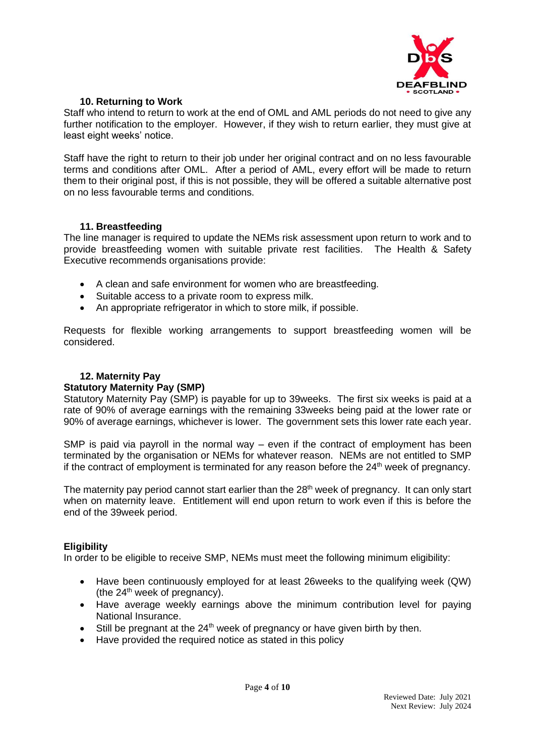

## **10. Returning to Work**

Staff who intend to return to work at the end of OML and AML periods do not need to give any further notification to the employer. However, if they wish to return earlier, they must give at least eight weeks' notice.

Staff have the right to return to their job under her original contract and on no less favourable terms and conditions after OML. After a period of AML, every effort will be made to return them to their original post, if this is not possible, they will be offered a suitable alternative post on no less favourable terms and conditions.

#### **11. Breastfeeding**

The line manager is required to update the NEMs risk assessment upon return to work and to provide breastfeeding women with suitable private rest facilities. The Health & Safety Executive recommends organisations provide:

- A clean and safe environment for women who are breastfeeding.
- Suitable access to a private room to express milk.
- An appropriate refrigerator in which to store milk, if possible.

Requests for flexible working arrangements to support breastfeeding women will be considered.

# **12. Maternity Pay**

#### **Statutory Maternity Pay (SMP)**

Statutory Maternity Pay (SMP) is payable for up to 39weeks. The first six weeks is paid at a rate of 90% of average earnings with the remaining 33weeks being paid at the lower rate or 90% of average earnings, whichever is lower. The government sets this lower rate each year.

SMP is paid via payroll in the normal way – even if the contract of employment has been terminated by the organisation or NEMs for whatever reason. NEMs are not entitled to SMP if the contract of employment is terminated for any reason before the  $24<sup>th</sup>$  week of pregnancy.

The maternity pay period cannot start earlier than the 28<sup>th</sup> week of pregnancy. It can only start when on maternity leave. Entitlement will end upon return to work even if this is before the end of the 39week period.

#### **Eligibility**

In order to be eligible to receive SMP, NEMs must meet the following minimum eligibility:

- Have been continuously employed for at least 26weeks to the qualifying week (QW) (the  $24<sup>th</sup>$  week of pregnancy).
- Have average weekly earnings above the minimum contribution level for paying National Insurance.
- Still be pregnant at the  $24<sup>th</sup>$  week of pregnancy or have given birth by then.
- Have provided the required notice as stated in this policy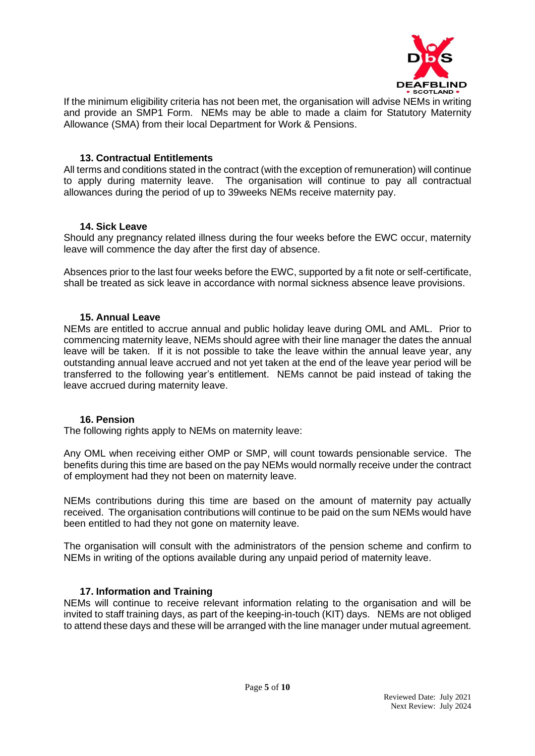

If the minimum eligibility criteria has not been met, the organisation will advise NEMs in writing and provide an SMP1 Form. NEMs may be able to made a claim for Statutory Maternity Allowance (SMA) from their local Department for Work & Pensions.

### **13. Contractual Entitlements**

All terms and conditions stated in the contract (with the exception of remuneration) will continue to apply during maternity leave. The organisation will continue to pay all contractual allowances during the period of up to 39weeks NEMs receive maternity pay.

#### **14. Sick Leave**

Should any pregnancy related illness during the four weeks before the EWC occur, maternity leave will commence the day after the first day of absence.

Absences prior to the last four weeks before the EWC, supported by a fit note or self-certificate, shall be treated as sick leave in accordance with normal sickness absence leave provisions.

## **15. Annual Leave**

NEMs are entitled to accrue annual and public holiday leave during OML and AML. Prior to commencing maternity leave, NEMs should agree with their line manager the dates the annual leave will be taken. If it is not possible to take the leave within the annual leave year, any outstanding annual leave accrued and not yet taken at the end of the leave year period will be transferred to the following year's entitlement. NEMs cannot be paid instead of taking the leave accrued during maternity leave.

#### **16. Pension**

The following rights apply to NEMs on maternity leave:

Any OML when receiving either OMP or SMP, will count towards pensionable service. The benefits during this time are based on the pay NEMs would normally receive under the contract of employment had they not been on maternity leave.

NEMs contributions during this time are based on the amount of maternity pay actually received. The organisation contributions will continue to be paid on the sum NEMs would have been entitled to had they not gone on maternity leave.

The organisation will consult with the administrators of the pension scheme and confirm to NEMs in writing of the options available during any unpaid period of maternity leave.

# **17. Information and Training**

NEMs will continue to receive relevant information relating to the organisation and will be invited to staff training days, as part of the keeping-in-touch (KIT) days. NEMs are not obliged to attend these days and these will be arranged with the line manager under mutual agreement.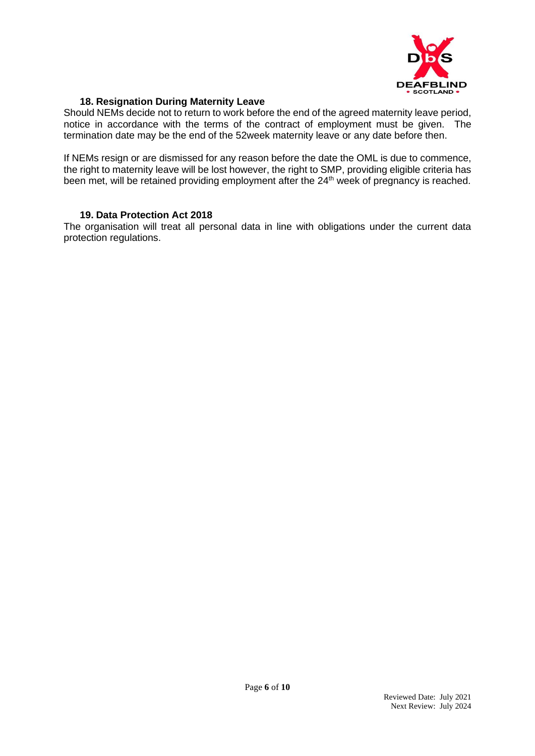

## **18. Resignation During Maternity Leave**

Should NEMs decide not to return to work before the end of the agreed maternity leave period, notice in accordance with the terms of the contract of employment must be given. The termination date may be the end of the 52week maternity leave or any date before then.

If NEMs resign or are dismissed for any reason before the date the OML is due to commence, the right to maternity leave will be lost however, the right to SMP, providing eligible criteria has been met, will be retained providing employment after the 24<sup>th</sup> week of pregnancy is reached.

#### **19. Data Protection Act 2018**

The organisation will treat all personal data in line with obligations under the current data protection regulations.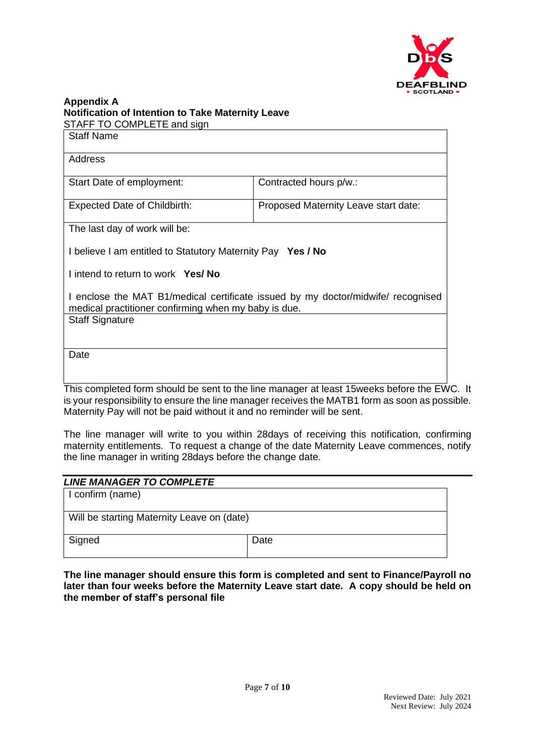

#### **Appendix A Notification of Intention to Take Maternity Leave** STAFF TO COMPLETE and sign

| <b>Staff Name</b>                                                                                                                        |                                                                                             |  |
|------------------------------------------------------------------------------------------------------------------------------------------|---------------------------------------------------------------------------------------------|--|
| Address                                                                                                                                  |                                                                                             |  |
| Start Date of employment:                                                                                                                | Contracted hours p/w.:                                                                      |  |
| <b>Expected Date of Childbirth:</b>                                                                                                      | Proposed Maternity Leave start date:                                                        |  |
| The last day of work will be:                                                                                                            |                                                                                             |  |
| I believe I am entitled to Statutory Maternity Pay Yes / No                                                                              |                                                                                             |  |
| I intend to return to work Yes/ No                                                                                                       |                                                                                             |  |
| I enclose the MAT B1/medical certificate issued by my doctor/midwife/ recognised<br>medical practitioner confirming when my baby is due. |                                                                                             |  |
| <b>Staff Signature</b>                                                                                                                   |                                                                                             |  |
|                                                                                                                                          |                                                                                             |  |
| Date                                                                                                                                     |                                                                                             |  |
|                                                                                                                                          | This completed form should be cont to the line monogener of legat 4 Europlys hefere the FIA |  |

This completed form should be sent to the line manager at least 15weeks before the EWC. It is your responsibility to ensure the line manager receives the MATB1 form as soon as possible. Maternity Pay will not be paid without it and no reminder will be sent.

The line manager will write to you within 28days of receiving this notification, confirming maternity entitlements. To request a change of the date Maternity Leave commences, notify the line manager in writing 28days before the change date.

| <b>LINE MANAGER TO COMPLETE</b>            |      |  |
|--------------------------------------------|------|--|
| I confirm (name)                           |      |  |
|                                            |      |  |
| Will be starting Maternity Leave on (date) |      |  |
|                                            |      |  |
| Signed                                     | Date |  |
|                                            |      |  |

**The line manager should ensure this form is completed and sent to Finance/Payroll no later than four weeks before the Maternity Leave start date. A copy should be held on the member of staff's personal file**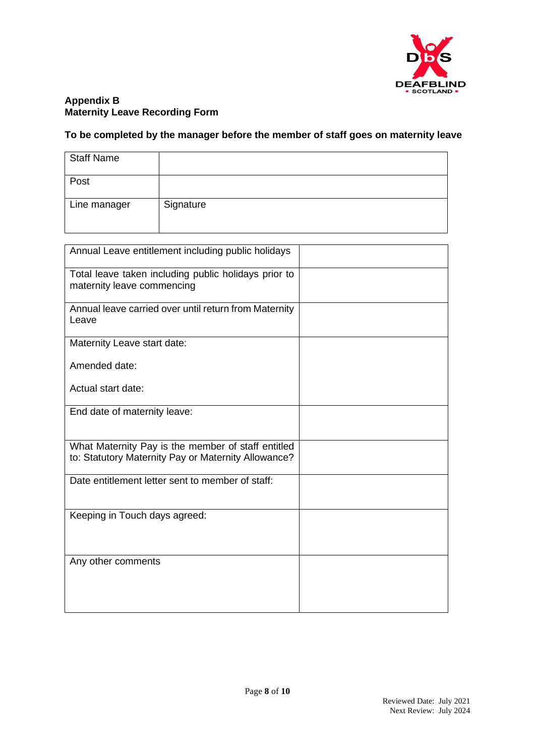

## **Appendix B Maternity Leave Recording Form**

# **To be completed by the manager before the member of staff goes on maternity leave**

| <b>Staff Name</b> |           |
|-------------------|-----------|
| Post              |           |
| Line manager      | Signature |

| Annual Leave entitlement including public holidays                                                        |  |
|-----------------------------------------------------------------------------------------------------------|--|
| Total leave taken including public holidays prior to<br>maternity leave commencing                        |  |
| Annual leave carried over until return from Maternity<br>Leave                                            |  |
| Maternity Leave start date:                                                                               |  |
| Amended date:                                                                                             |  |
| Actual start date:                                                                                        |  |
| End date of maternity leave:                                                                              |  |
| What Maternity Pay is the member of staff entitled<br>to: Statutory Maternity Pay or Maternity Allowance? |  |
| Date entitlement letter sent to member of staff:                                                          |  |
| Keeping in Touch days agreed:                                                                             |  |
| Any other comments                                                                                        |  |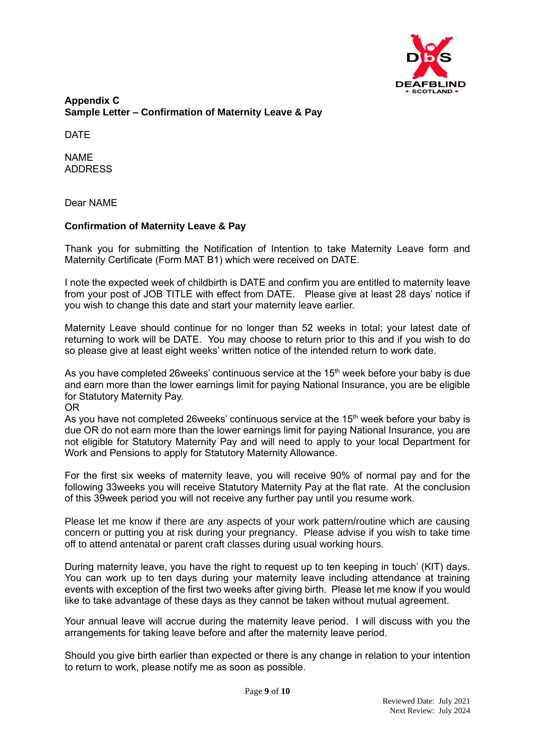

**Appendix C Sample Letter – Confirmation of Maternity Leave & Pay**

DATE

NAME ADDRESS

Dear NAME

# **Confirmation of Maternity Leave & Pay**

Thank you for submitting the Notification of Intention to take Maternity Leave form and Maternity Certificate (Form MAT B1) which were received on DATE.

I note the expected week of childbirth is DATE and confirm you are entitled to maternity leave from your post of JOB TITLE with effect from DATE. Please give at least 28 days' notice if you wish to change this date and start your maternity leave earlier.

Maternity Leave should continue for no longer than 52 weeks in total; your latest date of returning to work will be DATE. You may choose to return prior to this and if you wish to do so please give at least eight weeks' written notice of the intended return to work date.

As you have completed 26 weeks' continuous service at the  $15<sup>th</sup>$  week before your baby is due and earn more than the lower earnings limit for paying National Insurance, you are be eligible for Statutory Maternity Pay.

OR

As you have not completed 26 weeks' continuous service at the  $15<sup>th</sup>$  week before your baby is due OR do not earn more than the lower earnings limit for paying National Insurance, you are not eligible for Statutory Maternity Pay and will need to apply to your local Department for Work and Pensions to apply for Statutory Maternity Allowance.

For the first six weeks of maternity leave, you will receive 90% of normal pay and for the following 33weeks you will receive Statutory Maternity Pay at the flat rate. At the conclusion of this 39week period you will not receive any further pay until you resume work.

Please let me know if there are any aspects of your work pattern/routine which are causing concern or putting you at risk during your pregnancy. Please advise if you wish to take time off to attend antenatal or parent craft classes during usual working hours.

During maternity leave, you have the right to request up to ten keeping in touch' (KIT) days. You can work up to ten days during your maternity leave including attendance at training events with exception of the first two weeks after giving birth. Please let me know if you would like to take advantage of these days as they cannot be taken without mutual agreement.

Your annual leave will accrue during the maternity leave period. I will discuss with you the arrangements for taking leave before and after the maternity leave period.

Should you give birth earlier than expected or there is any change in relation to your intention to return to work, please notify me as soon as possible.